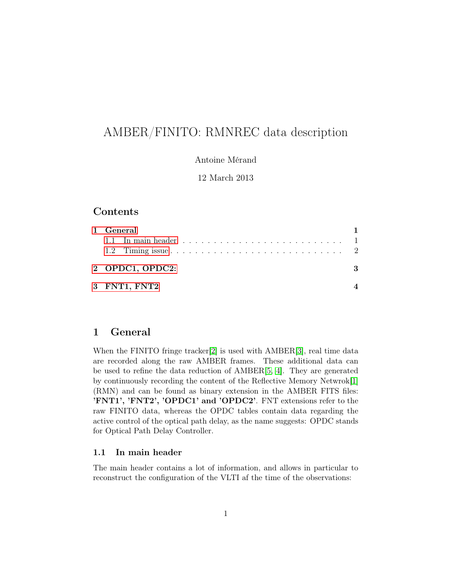# AMBER/FINITO: RMNREC data description

### Antoine Mérand

## 12 March 2013

## **Contents**

| 1 General       |   |
|-----------------|---|
|                 |   |
| 2 OPDC1, OPDC2: | 3 |
| 3 FNT1, FNT2    |   |

# <span id="page-0-0"></span>1 General

When the FINITO fringe tracker[\[2\]](#page-3-1) is used with AMBER[\[3\]](#page-4-0), real time data are recorded along the raw AMBER frames. These additional data can be used to refine the data reduction of AMBER[\[5,](#page-4-1) [4\]](#page-4-2). They are generated by continuously recording the content of the Reflective Memory Netwrok[\[1\]](#page-3-2) (RMN) and can be found as binary extension in the AMBER FITS files: 'FNT1', 'FNT2', 'OPDC1' and 'OPDC2'. FNT extensions refer to the raw FINITO data, whereas the OPDC tables contain data regarding the active control of the optical path delay, as the name suggests: OPDC stands for Optical Path Delay Controller.

#### <span id="page-0-1"></span>1.1 In main header

The main header contains a lot of information, and allows in particular to reconstruct the configuration of the VLTI af the time of the observations: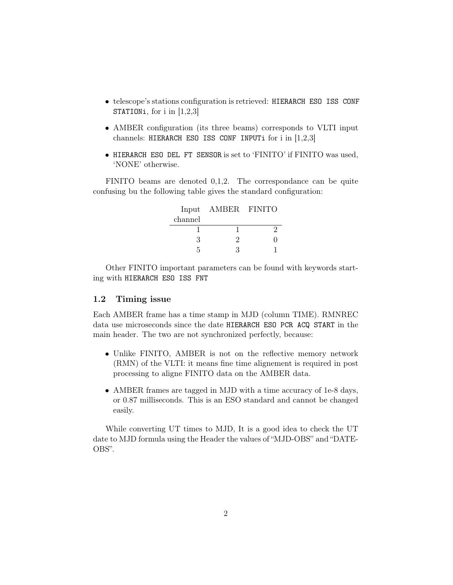- telescope's stations configuration is retrieved: HIERARCH ESO ISS CONF STATIONi, for i in  $[1,2,3]$
- AMBER configuration (its three beams) corresponds to VLTI input channels: HIERARCH ESO ISS CONF INPUTi for  $i$  in  $[1,2,3]$
- HIERARCH ESO DEL FT SENSOR is set to 'FINITO' if FINITO was used, 'NONE' otherwise.

FINITO beams are denoted 0,1,2. The correspondance can be quite confusing bu the following table gives the standard configuration:

|         | Input AMBER FINITO |  |
|---------|--------------------|--|
| channel |                    |  |
|         |                    |  |
| :ג      |                    |  |
|         |                    |  |

Other FINITO important parameters can be found with keywords starting with HIERARCH ESO ISS FNT

#### <span id="page-1-0"></span>1.2 Timing issue

Each AMBER frame has a time stamp in MJD (column TIME). RMNREC data use microseconds since the date HIERARCH ESO PCR ACQ START in the main header. The two are not synchronized perfectly, because:

- Unlike FINITO, AMBER is not on the reflective memory network (RMN) of the VLTI: it means fine time alignement is required in post processing to aligne FINITO data on the AMBER data.
- AMBER frames are tagged in MJD with a time accuracy of 1e-8 days, or 0.87 milliseconds. This is an ESO standard and cannot be changed easily.

While converting UT times to MJD, It is a good idea to check the UT date to MJD formula using the Header the values of "MJD-OBS" and "DATE-OBS".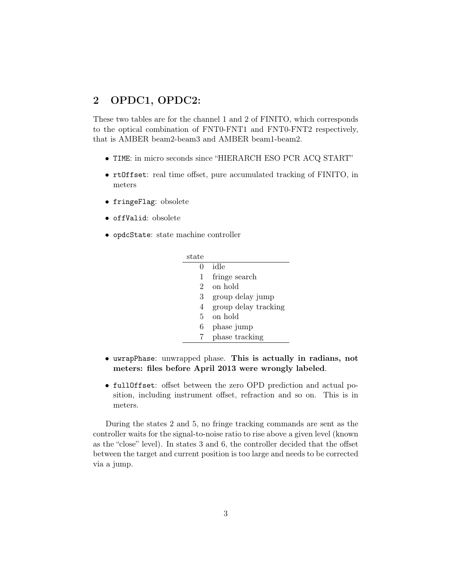# <span id="page-2-0"></span>2 OPDC1, OPDC2:

These two tables are for the channel 1 and 2 of FINITO, which corresponds to the optical combination of FNT0-FNT1 and FNT0-FNT2 respectively, that is AMBER beam2-beam3 and AMBER beam1-beam2.

- TIME: in micro seconds since "HIERARCH ESO PCR ACQ START"
- rtOffset: real time offset, pure accumulated tracking of FINITO, in meters
- fringeFlag: obsolete
- offValid: obsolete
- opdcState: state machine controller

| state        |                      |
|--------------|----------------------|
| 0            | idle                 |
| 1            | fringe search        |
| 2            | on hold              |
| 3            | group delay jump     |
| 4            | group delay tracking |
| $\mathbf{5}$ | on hold              |
| 6.           | phase jump           |
| 7            | phase tracking       |
|              |                      |

- uwrapPhase: unwrapped phase. This is actually in radians, not meters: files before April 2013 were wrongly labeled.
- fullOffset: offset between the zero OPD prediction and actual position, including instrument offset, refraction and so on. This is in meters.

During the states 2 and 5, no fringe tracking commands are sent as the controller waits for the signal-to-noise ratio to rise above a given level (known as the "close" level). In states 3 and 6, the controller decided that the offset between the target and current position is too large and needs to be corrected via a jump.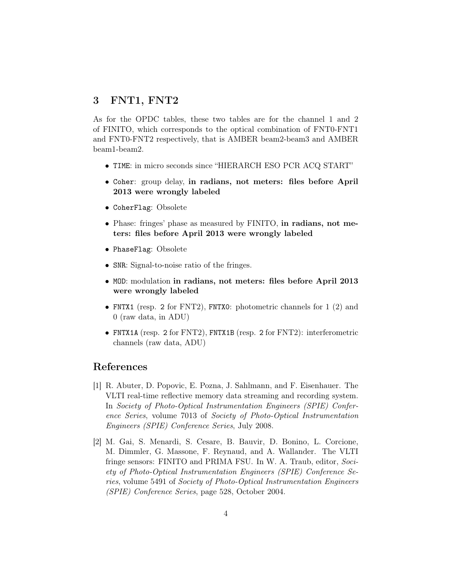# <span id="page-3-0"></span>3 FNT1, FNT2

As for the OPDC tables, these two tables are for the channel 1 and 2 of FINITO, which corresponds to the optical combination of FNT0-FNT1 and FNT0-FNT2 respectively, that is AMBER beam2-beam3 and AMBER beam1-beam2.

- TIME: in micro seconds since "HIERARCH ESO PCR ACQ START"
- Coher: group delay, in radians, not meters: files before April 2013 were wrongly labeled
- CoherFlag: Obsolete
- Phase: fringes' phase as measured by FINITO, in radians, not meters: files before April 2013 were wrongly labeled
- PhaseFlag: Obsolete
- SNR: Signal-to-noise ratio of the fringes.
- MOD: modulation in radians, not meters: files before April 2013 were wrongly labeled
- FNTX1 (resp. 2 for FNT2), FNTX0: photometric channels for 1 (2) and 0 (raw data, in ADU)
- FNTX1A (resp. 2 for FNT2), FNTX1B (resp. 2 for FNT2): interferometric channels (raw data, ADU)

## References

- <span id="page-3-2"></span>[1] R. Abuter, D. Popovic, E. Pozna, J. Sahlmann, and F. Eisenhauer. The VLTI real-time reflective memory data streaming and recording system. In Society of Photo-Optical Instrumentation Engineers (SPIE) Conference Series, volume 7013 of Society of Photo-Optical Instrumentation Engineers (SPIE) Conference Series, July 2008.
- <span id="page-3-1"></span>[2] M. Gai, S. Menardi, S. Cesare, B. Bauvir, D. Bonino, L. Corcione, M. Dimmler, G. Massone, F. Reynaud, and A. Wallander. The VLTI fringe sensors: FINITO and PRIMA FSU. In W. A. Traub, editor, Soci-ety of Photo-Optical Instrumentation Engineers (SPIE) Conference Series, volume 5491 of Society of Photo-Optical Instrumentation Engineers (SPIE) Conference Series, page 528, October 2004.